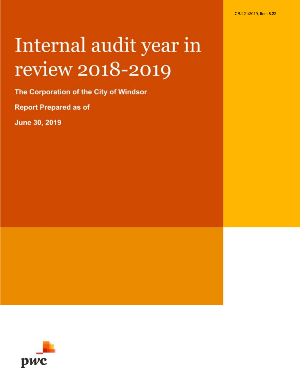# Internal audit year in review 2018-2019

The Corporation of the City of Windsor

**Report Prepared as of** 

June 30, 2019

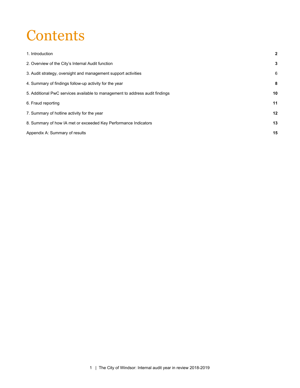### **Contents**

| 1. Introduction                                                              | $\mathbf{2}$ |
|------------------------------------------------------------------------------|--------------|
| 2. Overview of the City's Internal Audit function                            | 3            |
| 3. Audit strategy, oversight and management support activities               | 6            |
| 4. Summary of findings follow-up activity for the year                       | 8            |
| 5. Additional PwC services available to management to address audit findings | 10           |
| 6. Fraud reporting                                                           | 11           |
| 7. Summary of hotline activity for the year                                  | 12           |
| 8. Summary of how IA met or exceeded Key Performance Indicators              | 13           |
| Appendix A: Summary of results                                               | 15           |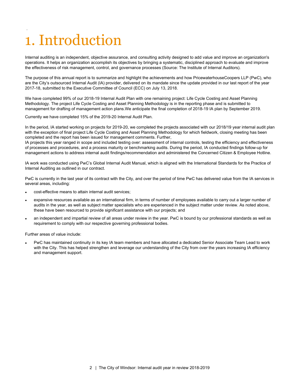# <span id="page-2-0"></span>1. Introduction

.

Internal auditing is an independent, objective assurance, and consulting activity designed to add value and improve an organization's operations. It helps an organization accomplish its objectives by bringing a systematic, disciplined approach to evaluate and improve the effectiveness of risk management, control, and governance processes (Source: The Institute of Internal Auditors).

The purpose of this annual report is to summarize and highlight the achievements and how PricewaterhouseCoopers LLP (PwC), who are the City's outsourced Internal Audit (IA) provider, delivered on its mandate since the update provided in our last report of the year 2017-18, submitted to the Executive Committee of Council (ECC) on July 13, 2018.

We have completed 99% of our 2018-19 Internal Audit Plan with one remaining project: Life Cycle Costing and Asset Planning Methodology. The project Life Cycle Costing and Asset Planning Methodology is in the reporting phase and is submitted to management for drafting of management action plans.We anticipate the final completion of 2018-19 IA plan by September 2019.

Currently we have completed 15% of the 2019-20 Internal Audit Plan.

In the period, IA started working on projects for 2019-20, we completed the projects associated with our 2018/19 year internal audit plan with the exception of final project Life Cycle Costing and Asset Planning Methodology for which fieldwork, closing meeting has been completed and the report has been issued for management comments. Further,

IA projects this year ranged in scope and included testing over: assessment of internal controls, testing the efficiency and effectiveness of processes and procedures, and a process maturity or benchmarking audits. During the period, IA conducted findings follow-up for management actions to address internal audit findings/recommendation and administered the Concerned Citizen & Employee Hotline.

IA work was conducted using PwC's Global Internal Audit Manual, which is aligned with the International Standards for the Practice of Internal Auditing as outlined in our contract.

PwC is currently in the last year of its contract with the City, and over the period of time PwC has delivered value from the IA services in several areas, including:

- cost-effective means to attain internal audit services;
- expansive resources available as an international firm, in terms of number of employees available to carry out a larger number of audits in the year, as well as subject matter specialists who are experienced in the subject matter under review. As noted above, these have been resourced to provide significant assistance with our projects; and
- an independent and impartial review of all areas under review in the year. PwC is bound by our professional standards as well as requirement to comply with our respective governing professional bodies.

Further areas of value include:

PwC has maintained continuity in its key IA team members and have allocated a dedicated Senior Associate Team Lead to work with the City. This has helped strengthen and leverage our understanding of the City from over the years increasing IA efficiency and management support.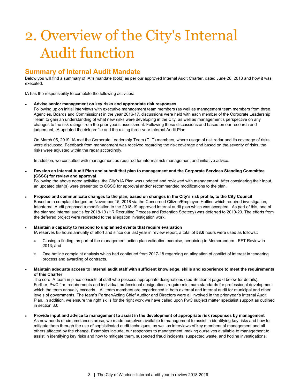## <span id="page-3-0"></span>2. Overview of the City's Internal Audit function

### **Summary of Internal Audit Mandate**

Below you will find a summary of IA''s mandate (bold) as per our approved Internal Audit Charter, dated June 26, 2013 and how it was executed.

IA has the responsibility to complete the following activities:

#### **● Advise senior management on key risks and appropriate risk responses**

Following up on initial interviews with executive management team members (as well as management team members from three Agencies, Boards and Commissions) in the year 2016-17, discussions were held with each member of the Corporate Leadership Team to gain an understanding of what new risks were developing in the City, as well as management's perspective on any changes to the risk ratings from the prior year's assessment. Following these discussions and based on our research and judgement, IA updated the risk profile and the rolling three-year Internal Audit Plan.

On March 05, 2019, IA met the Corporate Leadership Team (CLT) members, where usage of risk radar and its coverage of risks were discussed. Feedback from management was received regarding the risk coverage and based on the severity of risks, the risks were adjusted within the radar accordingly.

In addition, we consulted with management as required for informal risk management and initiative advice.

Develop an Internal Audit Plan and submit that plan to management and the Corporate Services Standing Committee **(CSSC) for review and approval**

Following the above noted activities, the City's IA Plan was updated and reviewed with management. After considering their input, an updated plan(s) were presented to CSSC for approval and/or recommended modifications to the plan.

- Propose and communicate changes to the plan, based on changes in the City's risk profile, to the City Council Based on a complaint lodged on November 15, 2018 via the Concerned Citizen/Employee Hotline which required investigation, Intenternal Audit proposed a modification to the 2018-19 approved internal audit plan which was accepted. As part of this, one of the planned internal audit's for 2018-19 (HR Recruiting Process and Retention Strategy) was deferred to 2019-20. The efforts from the deferred project were redirected to the allegation investigation work.
- **Maintain a capacity to respond to unplanned events that require evaluation** IA reserves 65 hours annually of effort and since our last year in review report, a total of **58.6** hours were used as follows::
	- Closing a finding, as part of the management action plan validation exercise, pertaining to Memorandum EFT Review in 2013; and
	- One hotline complaint analysis which had continued from 2017-18 regarding an allegation of conflict of interest in tendering process and awarding of contracts.
- Maintain adequate access to internal audit staff with sufficient knowledge, skills and experience to meet the requirements **of this Charter**

The core IA team in place consists of staff who possess appropriate designations (see Section 3 page 6 below for details). Further, PwC firm requirements and individual professional designations require minimum standards for professional development which the team annually exceeds. All team members are experienced in both external and internal audit for municipal and other levels of governments. The team's Partner/Acting Chief Auditor and Directors were all involved in the prior year's Internal Audit Plan. In addition, we ensure the right skills for the right work we have called upon PwC subject matter specialist support as outlined in section 3.0.

Provide input and advice to management to assist in the development of appropriate risk responses by management As new needs or circumstances arose, we made ourselves available to management to assist in identifying key risks and how to mitigate them through the use of sophisticated audit techniques, as well as interviews of key members of management and all others affected by the change. Examples include, our responses to management, making ourselves available to management to assist in identifying key risks and how to mitigate them, suspected fraud incidents, suspected waste, and hotline investigations.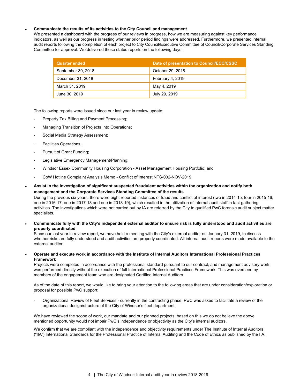#### **● Communicate the results of its activities to the City Council and management**

We presented a dashboard with the progress of our reviews in progress, how we are measuring against key performance indicators, as well as our progress in testing whether prior period findings were addressed. Furthermore, we presented internal audit reports following the completion of each project to City Council/Executive Committee of Council/Corporate Services Standing Committee for approval. We delivered these status reports on the following days:

| <b>Quarter ended</b> | Date of presentation to Council/ECC/CSSC |
|----------------------|------------------------------------------|
| September 30, 2018   | October 29, 2018                         |
| December 31, 2018    | February 4, 2019                         |
| March 31, 2019       | May 4, 2019                              |
| June 30, 2019        | July 29, 2019                            |

The following reports were issued since our last year in review update:

- Property Tax Billing and Payment Processing;
- Managing Transition of Projects Into Operations;
- Social Media Strategy Assessment;
- Facilities Operations;
- Pursuit of Grant Funding;
- Legislative Emergency Management/Planning;
- Windsor Essex Community Housing Corporation Asset Management Housing Portfolio; and
- CoW Hotline Complaint Analysis Memo Conflict of Interest NTS-002-NOV-2019.

#### Assist in the investigation of significant suspected fraudulent activities within the organization and notify both **management and the Corporate Services Standing Committee of the results**

During the previous six years, there were eight reported instances of fraud and conflict of interest (two in 2014-15; four in 2015-16; one in 2016-17; one in 2017-18 and one in 2018-19), which resulted in the utilization of internal audit staff in fact-gathering activities. The investigations which were not carried out by IA are referred by the City to qualified PwC forensic audit subject matter specialists.

#### Communicate fully with the City's independent external auditor to ensure risk is fully understood and audit activities are **properly coordinated**

Since our last year in review report, we have held a meeting with the City's external auditor on January 31, 2019, to discuss whether risks are fully understood and audit activities are properly coordinated. All internal audit reports were made available to the external auditor.

Operate and execute work in accordance with the Institute of Internal Auditors International Professional Practices **Framework**

Projects were completed in accordance with the professional standard pursuant to our contract, and management advisory work was performed directly without the execution of full International Professional Practices Framework. This was overseen by members of the engagement team who are designated Certified Internal Auditors.

As of the date of this report, we would like to bring your attention to the following areas that are under consideration/exploration or proposal for possible PwC support:

- Organizational Review of Fleet Services - currently in the contracting phase, PwC was asked to facilitate a review of the organizational design/structure of the City of Windsor's fleet department.

We have reviewed the scope of work, our mandate and our planned projects; based on this we do not believe the above mentioned opportunity would not impair PwC's independence or objectivity as the City's internal auditors.

We confirm that we are compliant with the independence and objectivity requirements under The Institute of Internal Auditors ("IIA") International Standards for the Professional Practice of Internal Auditing and the Code of Ethics as published by the IIA.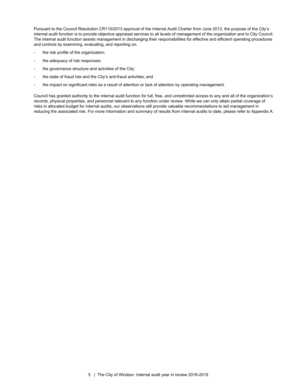Pursuant to the Council Resolution CR110/2013 approval of the Internal Audit Charter from June 2013, the purpose of the City's internal audit function is to provide objective appraisal services to all levels of management of the organization and to City Council. The internal audit function assists management in discharging their responsibilities for effective and efficient operating procedures and controls by examining, evaluating, and reporting on:

- the risk profile of the organization;
- the adequacy of risk responses;
- the governance structure and activities of the City;
- the state of fraud risk and the City's anti-fraud activities; and
- the impact on significant risks as a result of attention or lack of attention by operating management.

Council has granted authority to the internal audit function for full, free, and unrestricted access to any and all of the organization's records, physical properties, and personnel relevant to any function under review. While we can only attain partial coverage of risks in allocated budget for internal audits, our observations still provide valuable recommendations to aid management in reducing the associated risk. For more information and summary of results from internal audits to date, please refer to Appendix A.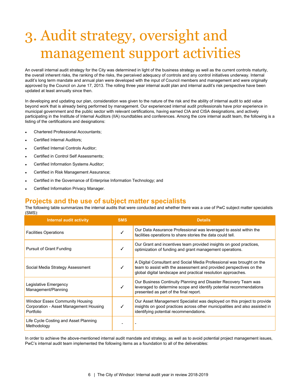### <span id="page-6-0"></span>3. Audit strategy, oversight and management support activities

An overall internal audit strategy for the City was determined in light of the business strategy as well as the current controls maturity, the overall inherent risks, the ranking of the risks, the perceived adequacy of controls and any control initiatives underway. Internal audit's long term mandate and annual plan were developed with the input of Council members and management and were originally approved by the Council on June 17, 2013. The rolling three year internal audit plan and internal audit's risk perspective have been updated at least annually since then.

In developing and updating our plan, consideration was given to the nature of the risk and the ability of internal audit to add value beyond work that is already being performed by management. Our experienced internal audit professionals have prior experience in municipal government and the public sector with relevant certifications, having earned CIA and CISA designations, and actively participating in the Institute of Internal Auditors (IIA) roundtables and conferences. Among the core internal audit team, the following is a listing of the certifications and designations:

- **Chartered Professional Accountants;**
- Certified Internal Auditors:
- Certified Internal Controls Auditor;
- Certified in Control Self Assessments;
- Certified Information Systems Auditor;
- Certified in Risk Management Assurance;
- Certified in the Governance of Enterprise Information Technology; and
- Certified Information Privacy Manager.

#### **Projects and the use of subject matter specialists**

The following table summarizes the internal audits that were conducted and whether there was a use of PwC subject matter specialists (SMS):

| <b>Internal audit activity</b>                                                                | <b>SMS</b> | <b>Details</b>                                                                                                                                                                                                |
|-----------------------------------------------------------------------------------------------|------------|---------------------------------------------------------------------------------------------------------------------------------------------------------------------------------------------------------------|
| <b>Facilities Operations</b>                                                                  |            | Our Data Assurance Professional was leveraged to assist within the<br>facilities operations to share stories the data could tell.                                                                             |
| <b>Pursuit of Grant Funding</b>                                                               |            | Our Grant and incentives team provided insights on good practices,<br>optimization of funding and grant management operations.                                                                                |
| Social Media Strategy Assessment                                                              |            | A Digital Consultant and Social Media Professional was brought on the<br>team to assist with the assessment and provided perspectives on the<br>global digital landscape and practical resolution approaches. |
| Legislative Emergency<br>Management/Planning                                                  | ✓          | Our Business Continuity Planning and Disaster Recovery Team was<br>leveraged to determine scope and identify potential recommendations<br>presented as part of the final report.                              |
| <b>Windsor Essex Community Housing</b><br>Corporation - Asset Management Housing<br>Portfolio |            | Our Asset Management Specialist was deployed on this project to provide<br>insights on good practices across other municipalities and also assisted in<br>identifying potential recommendations.              |
| Life Cycle Costing and Asset Planning<br>Methodology                                          |            |                                                                                                                                                                                                               |

In order to achieve the above-mentioned internal audit mandate and strategy, as well as to avoid potential project management issues, PwC's internal audit team implemented the following items as a foundation to all of the deliverables: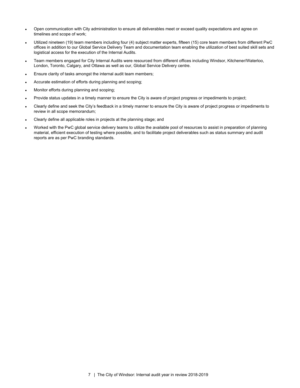- Open communication with City administration to ensure all deliverables meet or exceed quality expectations and agree on timelines and scope of work;
- Utilized nineteen (19) team members including four (4) subject matter experts, fifteen (15) core team members from different PwC offices in addition to our Global Service Delivery Team and documentation team enabling the utilization of best suited skill sets and logistical access for the execution of the Internal Audits.
- Team members engaged for City Internal Audits were resourced from different offices including Windsor, Kitchener/Waterloo, London, Toronto, Calgary, and Ottawa as well as our, Global Service Delivery centre.
- Ensure clarity of tasks amongst the internal audit team members;
- Accurate estimation of efforts during planning and scoping;
- Monitor efforts during planning and scoping;
- Provide status updates in a timely manner to ensure the City is aware of project progress or impediments to project;
- Clearly define and seek the City's feedback in a timely manner to ensure the City is aware of project progress or impediments to review in all scope memorandum;
- Clearly define all applicable roles in projects at the planning stage; and
- Worked with the PwC global service delivery teams to utilize the available pool of resources to assist in preparation of planning material, efficient execution of testing where possible, and to facilitate project deliverables such as status summary and audit reports are as per PwC branding standards.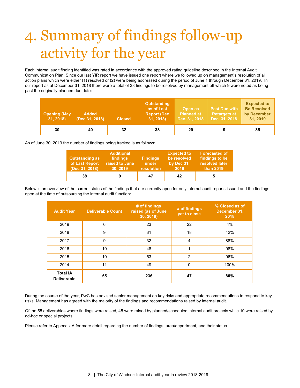# <span id="page-8-0"></span>4. Summary of findings follow-up activity for the year

Each internal audit finding identified was rated in accordance with the approved rating guideline described in the Internal Audit Communication Plan. Since our last YIR report we have issued one report where we followed up on management's resolution of all action plans which were either (1) resolved or (2) were being addressed during the period of June 1 through December 31, 2019. In our report as at December 31, 2018 there were a total of 38 findings to be resolved by management off which 9 were noted as being past the originally planned due date:

| <b>Opening (May</b><br>31, 2018) | <b>Added</b><br>(Dec 31, 2018) | <b>Closed</b> | <b>Outstanding</b><br>as of Last<br><b>Report (Dec)</b><br>31, 2018 | Open as<br><b>Planned at</b><br>Dec. 31, 2018 | <b>Past Due with</b><br><b>Retargets at</b><br>Dec. 31, 2018 | <b>Expected to</b><br><b>Be Resolved</b><br>by December<br>31, 2019 |
|----------------------------------|--------------------------------|---------------|---------------------------------------------------------------------|-----------------------------------------------|--------------------------------------------------------------|---------------------------------------------------------------------|
| 30                               | 40                             | 32            | 38                                                                  | 29                                            |                                                              | 35                                                                  |

As of June 30, 2019 the number of findings being tracked is as follows:

| <b>Outstanding as</b><br>of Last Report<br>(Dec 31, 2018) | <b>Additional</b><br>findings<br>raised to June<br>30.2019 | <b>Findings</b><br>under<br>resolution | <b>Expected to</b><br>be resolved<br>by Dec 31.<br>2019 | <b>Forecasted of</b><br>findings to be<br>resolved later<br>than 2019 |
|-----------------------------------------------------------|------------------------------------------------------------|----------------------------------------|---------------------------------------------------------|-----------------------------------------------------------------------|
| 38                                                        |                                                            | 47                                     | 42                                                      |                                                                       |

Below is an overview of the current status of the findings that are currently open for only internal audit reports issued and the findings open at the time of outsourcing the internal audit function:

| <b>Audit Year</b>                     | <b>Deliverable Count</b> | # of findings<br>raised (as of June<br>30, 2019 | # of findings<br>yet to close | % Closed as of<br>December 31.<br>2018 |
|---------------------------------------|--------------------------|-------------------------------------------------|-------------------------------|----------------------------------------|
| 2019                                  | 6                        | 23                                              | 22                            | 4%                                     |
| 2018                                  | 9                        | 31                                              | 18                            | 42%                                    |
| 2017                                  | 9                        | 32                                              | $\overline{4}$                | 88%                                    |
| 2016                                  | 10                       | 48                                              | 1                             | 98%                                    |
| 2015                                  | 10                       | 53                                              | 2                             | 96%                                    |
| 2014                                  | 11                       | 49                                              | 0                             | 100%                                   |
| <b>Total IA</b><br><b>Deliverable</b> | 55                       | 236                                             | 47                            | 80%                                    |

During the course of the year, PwC has advised senior management on key risks and appropriate recommendations to respond to key risks. Management has agreed with the majority of the findings and recommendations raised by internal audit.

Of the 55 deliverables where findings were raised, 45 were raised by planned/scheduled internal audit projects while 10 were raised by ad-hoc or special projects.

Please refer to Appendix A for more detail regarding the number of findings, area/department, and their status.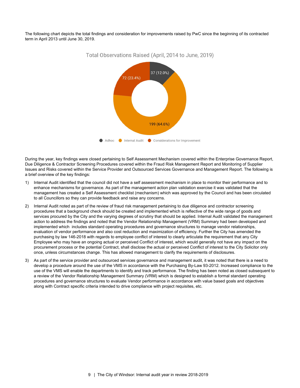The following chart depicts the total findings and consideration for improvements raised by PwC since the beginning of its contracted term in April 2013 until June 30, 2019.



Total Observations Raised (April, 2014 to June, 2019)

During the year, key findings were closed pertaining to Self Assessment Mechanism covered within the Enterprise Governance Report, Due Diligence & Contractor Screening Procedures covered within the Fraud Risk Management Report and Monitoring of Supplier Issues and Risks covered within the Service Provider and Outsourced Services Governance and Management Report. The following is a brief overview of the key findings:

- 1) Internal Audit identified that the council did not have a self assessment mechanism in place to monitor their performance and to enhance mechanisms for governance. As part of the management action plan validation exercise it was validated that the management has created a Self Assessment checklist (mechanism) which was approved by the Council and has been circulated to all Councillors so they can provide feedback and raise any concerns.
- 2) Internal Audit noted as part of the review of fraud risk management pertaining to due diligence and contractor screening procedures that a background check should be created and implemented which is reflective of the wide range of goods and services procured by the City and the varying degrees of scrutiny that should be applied. Internal Audit validated the management action to address the findings and noted that the Vendor Relationship Management (VRM) Summary had been developed and implemented which includes standard operating procedures and governance structures to manage vendor relationships, evaluation of vendor performance and also cost reduction and maximization of efficiency. Further the City has amended the purchasing by law 146-2018 with regards to employee conflict of interest to clearly articulate the requirement that any City Employee who may have an ongoing actual or perceived Conflict of interest, which would generally not have any impact on the procurement process or the potential Contract, shall disclose the actual or perceived Conflict of interest to the City Solicitor only once, unless circumstances change. This has allowed management to clarify the requirements of disclosures.
- 3) As part of the service provider and outsourced services governance and management audit, it was noted that there is a need to develop a procedure around the use of the VMS in accordance with the Purchasing By-Law 93-2012. Increased compliance to the use of the VMS will enable the departments to identify and track performance. The finding has been noted as closed subsequent to a review of the Vendor Relationship Management Summary (VRM) which is designed to establish a formal standard operating procedures and governance structures to evaluate Vendor performance in accordance with value based goals and objectives along with Contract specific criteria intended to drive compliance with project requisites, etc.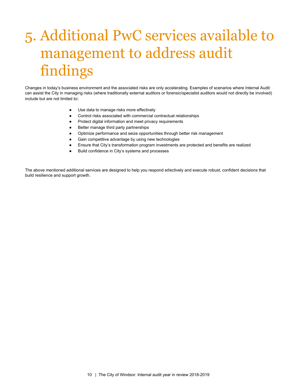# <span id="page-10-0"></span>5. Additional PwC services available to management to address audit findings

Changes in today's business environment and the associated risks are only accelerating. Examples of scenarios where Internal Audit can assist the City in managing risks (where traditionally external auditors or forensic/specialist auditors would not directly be involved) include but are not limited to:

- Use data to manage risks more effectively
- Control risks associated with commercial contractual relationships
- Protect digital information and meet privacy requirements
- Better manage third party partnerships
- Optimize performance and seize opportunities through better risk management
- Gain competitive advantage by using new technologies
- Ensure that City's transformation program investments are protected and benefits are realized
- Build confidence in City's systems and processes

The above mentioned additional services are designed to help you respond effectively and execute robust, confident decisions that build resilience and support growth.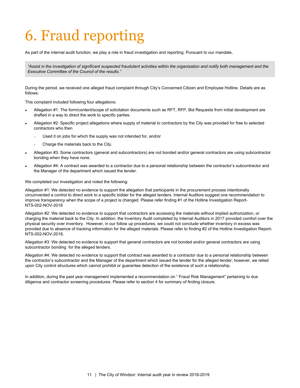# <span id="page-11-0"></span>6. Fraud reporting

As part of the internal audit function, we play a role in fraud investigation and reporting. Pursuant to our mandate,

"Assist in the investigation of significant suspected fraudulent activities within the organization and notify both management and the *Executive Committee of the Council of the results."*

During the period, we received one alleged fraud complaint through City's Concerned Citizen and Employee Hotline. Details are as follows:

This complaint included following four allegations:

- Allegation #1: The form/content/scope of solicitation documents such as RFT, RFP, Bid Requests from initial development are drafted in a way to direct the work to specific parties.
- Allegation #2: Specific project allegations where supply of material to contractors by the City was provided for free to selected contractors who then
	- Used it on jobs for which the supply was not intended for, and/or
	- Charge the materials back to the City.
- Allegation #3: Some contractors (general and subcontractors) are not bonded and/or general contractors are using subcontractor bonding when they have none.
- Allegation #4: A contract was awarded to a contractor due to a personal relationship between the contractor's subcontractor and the Manager of the department which issued the tender.

We completed our investigation and noted the following:

Allegation #1: We detected no evidence to support the allegation that participants in the procurement process intentionally circumvented a control to direct work to a specific bidder for the alleged tenders. Internal Auditors suggest one recommendation to improve transparency when the scope of a project is changed. Please refer finding #1 of the Hotline Investigation Report-NTS-002-NOV-2018

Allegation #2: We detected no evidence to support that contractors are accessing the materials without implied authorization, or charging the material back to the City. In addition, the Inventory Audit completed by Internal Auditors in 2017 provided comfort over the physical security over inventory. However, in our follow up procedures, we could not conclude whether inventory in excess was provided due to absence of tracking information for the alleged materials. Please refer to finding #2 of the Hotline Investigation Report-NTS-002-NOV-2018.

Allegation #3: We detected no evidence to support that general contractors are not bonded and/or general contractors are using subcontractor bonding for the alleged tenders.

Allegation #4: We detected no evidence to support that contract was awarded to a contractor due to a personal relationship between the contractor's subcontractor and the Manager of the department which issued the tender for the alleged tender; however, we relied upon City control structures which cannot prohibit or guarantee detection of the existence of such a relationship.

In addition, during the past year management implemented a recommendation on " Fraud Risk Management" pertaining to due diligence and contractor screening procedures. Please refer to section 4 for summary of finding closure.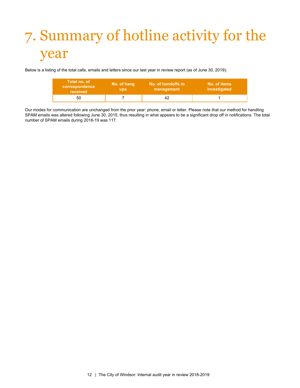# <span id="page-12-0"></span>7. Summary of hotline activity for the year

Below is a listing of the total calls, emails and letters since our last year in review report (as of June 30, 2019):

| Total no. of<br><b>correspondence</b><br>received | No. of hang<br><b>ups</b> | No. of handoffs to<br>management | No. of items<br>investigated |
|---------------------------------------------------|---------------------------|----------------------------------|------------------------------|
| 50                                                |                           |                                  |                              |

Our modes for communication are unchanged from the prior year: phone, email or letter. Please note that our method for handling SPAM emails was altered following June 30, 2015, thus resulting in what appears to be a significant drop off in notifications. The total number of SPAM emails during 2018-19 was 117.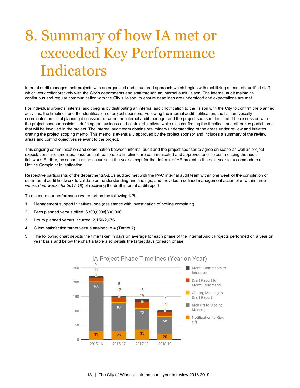# <span id="page-13-0"></span>8. Summary of how IA met or exceeded Key Performance Indicators

Internal audit manages their projects with an organized and structured approach which begins with mobilizing a team of qualified staff which work collaboratively with the City's departments and staff through an internal audit liaison. The internal audit maintains continuous and regular communication with the City's liaison, to ensure deadlines are understood and expectations are met.

For individual projects, internal audit begins by distributing an internal audit notification to the liaison with the City to confirm the planned activities, the timelines and the identification of project sponsors. Following the internal audit notification, the liaison typically coordinates an initial planning discussion between the internal audit manager and the project sponsor identified. The discussion with the project sponsor assists in defining the business and control objectives while also confirming the timelines and other key participants that will be involved in the project. The internal audit team obtains preliminary understanding of the areas under review and initiates drafting the project scoping memo. This memo is eventually approved by the project sponsor and includes a summary of the review areas and control objectives relevant to the project.

This ongoing communication and coordination between internal audit and the project sponsor to agree on scope as well as project expectations and timelines, ensures that reasonable timelines are communicated and approved prior to commencing the audit fieldwork. Further, no scope change occurred in the year except for the deferral of HR project to the next year to accommodate a Hotline Complaint Investigation.

Respective participants of the departments/ABCs audited met with the PwC internal audit team within one week of the completion of our internal audit fieldwork to validate our understanding and findings, and provided a defined management action plan within three weeks (*four weeks for 2017-18*) of receiving the draft internal audit report.

To measure our performance we report on the following KPIs:

- 1. Management support initiatives: one (assistance with investigation of hotline complaint)
- 2. Fees planned versus billed: \$300,000/\$300,000
- 3. Hours planned versus incurred: 2,150/2,676
- 4. Client satisfaction target versus attained: 8.4 (Target 7)
- 5. The following chart depicts the time taken in days on average for each phase of the Internal Audit Projects performed on a year on year basis and below the chart a table also details the target days for each phase.



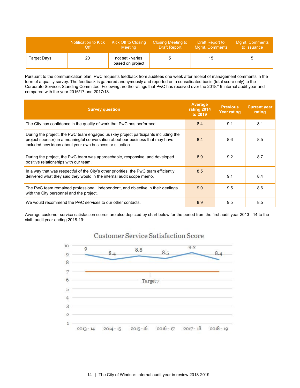|             | Notification to Kick | <b>Kick Off to Closing</b>           | <b>Closing Meeting to</b> | Draft Report to       | <b>Mgmt. Comments</b> |
|-------------|----------------------|--------------------------------------|---------------------------|-----------------------|-----------------------|
|             | Off                  | <b>Meeting</b>                       | <b>Draft Report</b>       | <b>Mgmt. Comments</b> | to Issuance           |
| Target Days | 20                   | not set - varies<br>based on project |                           | 15                    |                       |

Pursuant to the communication plan, PwC requests feedback from auditees one week after receipt of management comments in the form of a quality survey. The feedback is gathered anonymously and reported on a consolidated basis (total score only) to the Corporate Services Standing Committee. Following are the ratings that PwC has received over the 2018/19 internal audit year and compared with the year 2016/17 and 2017/18.

| <b>Survey question</b>                                                                                                                                                                                                            | Average<br>rating 2014<br>to 2019 | <b>Previous</b><br><b>Year rating</b> | <b>Current year</b><br>rating |
|-----------------------------------------------------------------------------------------------------------------------------------------------------------------------------------------------------------------------------------|-----------------------------------|---------------------------------------|-------------------------------|
| The City has confidence in the quality of work that PwC has performed.                                                                                                                                                            | 8.4                               | 9.1                                   | 8.1                           |
| During the project, the PwC team engaged us (key project participants including the<br>project sponsor) in a meaningful conversation about our business that may have<br>included new ideas about your own business or situation. | 8.4                               | 8.6                                   | 8.5                           |
| During the project, the PwC team was approachable, responsive, and developed<br>positive relationships with our team.                                                                                                             | 8.9                               | 9.2                                   | 8.7                           |
| In a way that was respectful of the City's other priorities, the PwC team efficiently<br>delivered what they said they would in the internal audit scope memo.                                                                    | 8.5                               | 9.1                                   | 8.4                           |
| The PwC team remained professional, independent, and objective in their dealings<br>with the City personnel and the project.                                                                                                      | 9.0                               | 9.5                                   | 8.6                           |
| We would recommend the PwC services to our other contacts.                                                                                                                                                                        | 8.9                               | 9.5                                   | 8.5                           |

Average customer service satisfaction scores are also depicted by chart below for the period from the first audit year 2013 - 14 to the sixth audit year ending 2018-19:



### Customer Service Satisfaction Score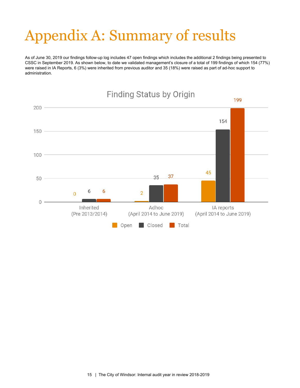# <span id="page-15-0"></span>Appendix A: Summary of results

As of June 30, 2019 our findings follow-up log includes 47 open findings which includes the additional 2 findings being presented to CSSC in September 2019. As shown below, to date we validated management's closure of a total of 199 findings of which 154 (77%) were raised in IA Reports, 6 (3%) were inherited from previous auditor and 35 (18%) were raised as part of ad-hoc support to administration.

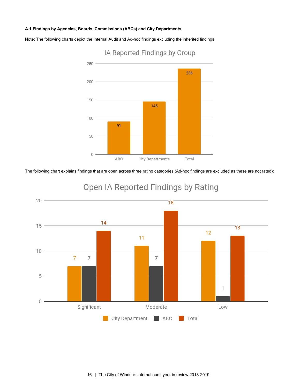#### **A.1 Findings by Agencies, Boards, Commissions (ABCs) and City Departments**

Note: The following charts depict the Internal Audit and Ad-hoc findings excluding the inherited findings.



### IA Reported Findings by Group

The following chart explains findings that are open across three rating categories (Ad-hoc findings are excluded as these are not rated):



### Open IA Reported Findings by Rating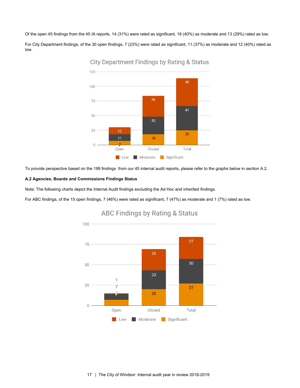Of the open 45 findings from the 45 IA reports, 14 (31%) were rated as significant, 18 (40%) as moderate and 13 (29%) rated as low.

For City Department findings, of the 30 open findings, 7 (23%) were rated as significant, 11 (37%) as moderate and 12 (40%) rated as low.



**City Department Findings by Rating & Status** 

To provide perspective based on the 199 findings from our 45 internal audit reports, please refer to the graphs below in section A.2.

#### **A.2 Agencies, Boards and Commissions Findings Status**

Note: The following charts depict the Internal Audit findings excluding the Ad Hoc and inherited findings.

For ABC findings, of the 15 open findings, 7 (46%) were rated as significant, 7 (47%) as moderate and 1 (7%) rated as low.



#### **ABC Findings by Rating & Status**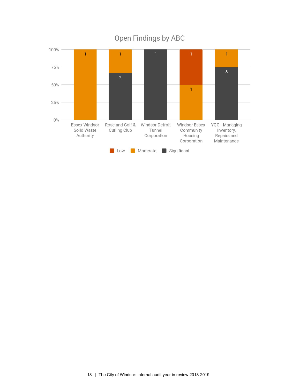

### Open Findings by ABC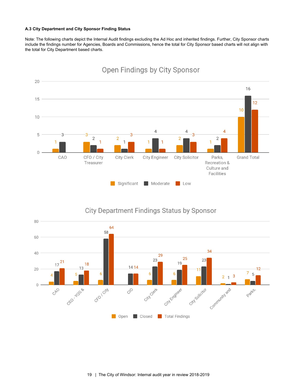#### **A.3 City Department and City Sponsor Finding Status**

Note: The following charts depict the Internal Audit findings excluding the Ad Hoc and inherited findings. Further, City Sponsor charts include the findings number for Agencies, Boards and Commissions, hence the total for City Sponsor based charts will not align with the total for City Department based charts.



### Open Findings by City Sponsor



### **City Department Findings Status by Sponsor**